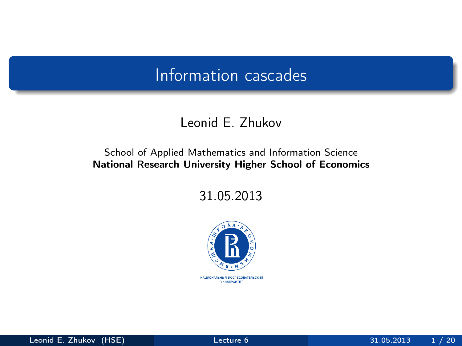### Leonid E. Zhukov

### School of Applied Mathematics and Information Science National Research University Higher School of Economics

31.05.2013



<span id="page-0-0"></span>НАЦИОНАЛЬНЫЙ ИССЛЕДОВАТЕЛЬСКИЙ *YHMBEPCWTET*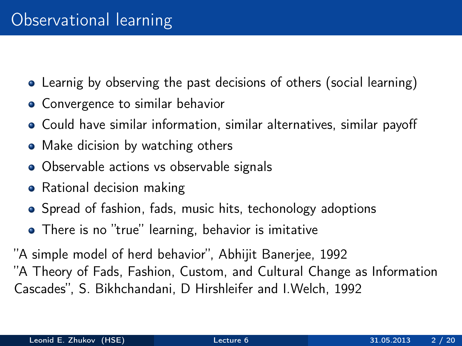- Learnig by observing the past decisions of others (social learning)
- Convergence to similar behavior
- Could have similar information, similar alternatives, similar payoff
- Make dicision by watching others
- Observable actions vs observable signals
- Rational decision making
- Spread of fashion, fads, music hits, techonology adoptions
- There is no "true" learning, behavior is imitative

"A simple model of herd behavior", Abhijit Banerjee, 1992 "A Theory of Fads, Fashion, Custom, and Cultural Change as Information Cascades", S. Bikhchandani, D Hirshleifer and I.Welch, 1992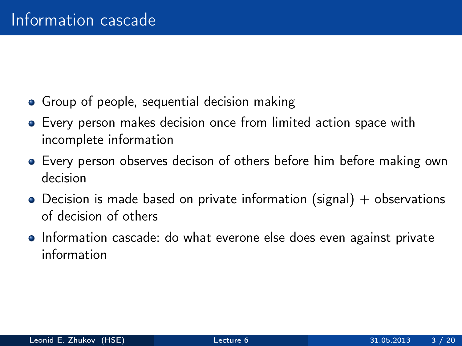- Group of people, sequential decision making
- Every person makes decision once from limited action space with incomplete information
- Every person observes decison of others before him before making own decision
- $\bullet$  Decision is made based on private information (signal) + observations of decision of others
- Information cascade: do what everone else does even against private information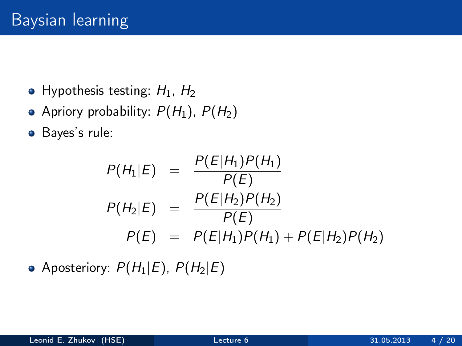- Hypothesis testing:  $H_1$ ,  $H_2$
- Apriory probability:  $P(H_1)$ ,  $P(H_2)$
- Bayes's rule:

$$
P(H_1|E) = \frac{P(E|H_1)P(H_1)}{P(E)}
$$
  
\n
$$
P(H_2|E) = \frac{P(E|H_2)P(H_2)}{P(E)}
$$
  
\n
$$
P(E) = P(E|H_1)P(H_1) + P(E|H_2)P(H_2)
$$

• Aposteriory:  $P(H_1|E)$ ,  $P(H_2|E)$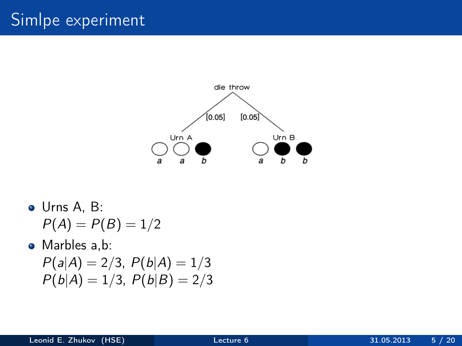# Simlpe experiment



Urns A, B:  $P(A) = P(B) = 1/2$ 

Marbles a,b:

$$
P(a|A) = 2/3, P(b|A) = 1/3
$$
  

$$
P(b|A) = 1/3, P(b|B) = 2/3
$$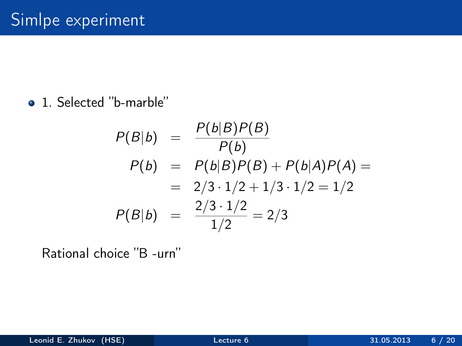1. Selected "b-marble"

$$
P(B|b) = \frac{P(b|B)P(B)}{P(b)}
$$
  
\n
$$
P(b) = P(b|B)P(B) + P(b|A)P(A) =
$$
  
\n
$$
= 2/3 \cdot 1/2 + 1/3 \cdot 1/2 = 1/2
$$
  
\n
$$
P(B|b) = \frac{2/3 \cdot 1/2}{1/2} = 2/3
$$

Rational choice "B -urn"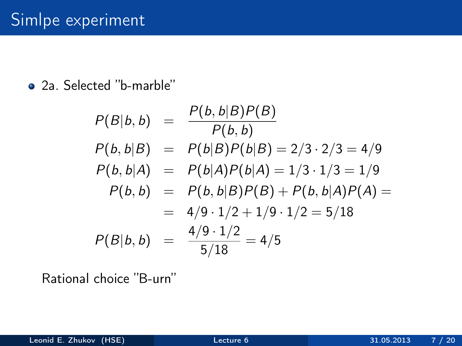### • 2a. Selected "b-marble"

$$
P(B|b, b) = \frac{P(b, b|B)P(B)}{P(b, b)}
$$
  
\n
$$
P(b, b|B) = P(b|B)P(b|B) = 2/3 \cdot 2/3 = 4/9
$$
  
\n
$$
P(b, b|A) = P(b|A)P(b|A) = 1/3 \cdot 1/3 = 1/9
$$
  
\n
$$
P(b, b) = P(b, b|B)P(B) + P(b, b|A)P(A) =
$$
  
\n
$$
= 4/9 \cdot 1/2 + 1/9 \cdot 1/2 = 5/18
$$
  
\n
$$
P(B|b, b) = \frac{4/9 \cdot 1/2}{5/18} = 4/5
$$

Rational choice "B-urn"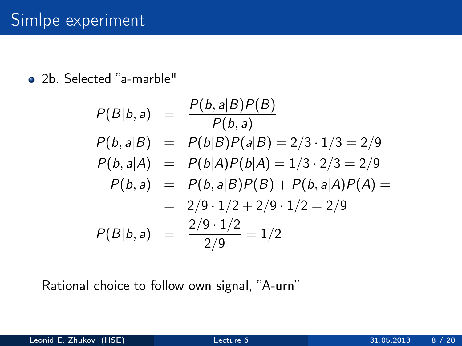2b. Selected "a-marble"

$$
P(B|b, a) = \frac{P(b, a|B)P(B)}{P(b, a)}
$$
  
\n
$$
P(b, a|B) = P(b|B)P(a|B) = 2/3 \cdot 1/3 = 2/9
$$
  
\n
$$
P(b, a|A) = P(b|A)P(b|A) = 1/3 \cdot 2/3 = 2/9
$$
  
\n
$$
P(b, a) = P(b, a|B)P(B) + P(b, a|A)P(A) =
$$
  
\n
$$
= 2/9 \cdot 1/2 + 2/9 \cdot 1/2 = 2/9
$$
  
\n
$$
P(B|b, a) = \frac{2/9 \cdot 1/2}{2/9} = 1/2
$$

Rational choice to follow own signal, "A-urn"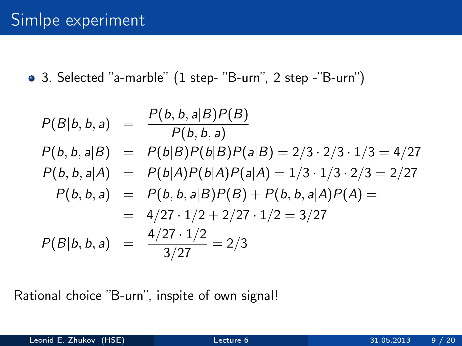3. Selected "a-marble" (1 step- "B-urn", 2 step -"B-urn")

$$
P(B|b, b, a) = \frac{P(b, b, a|B)P(B)}{P(b, b, a)}
$$
  
\n
$$
P(b, b, a|B) = P(b|B)P(b|B)P(a|B) = 2/3 \cdot 2/3 \cdot 1/3 = 4/27
$$
  
\n
$$
P(b, b, a|A) = P(b|A)P(b|A)P(a|A) = 1/3 \cdot 1/3 \cdot 2/3 = 2/27
$$
  
\n
$$
P(b, b, a) = P(b, b, a|B)P(B) + P(b, b, a|A)P(A) =
$$
  
\n
$$
= 4/27 \cdot 1/2 + 2/27 \cdot 1/2 = 3/27
$$
  
\n
$$
P(B|b, b, a) = \frac{4/27 \cdot 1/2}{3/27} = 2/3
$$

Rational choice "B-urn", inspite of own signal!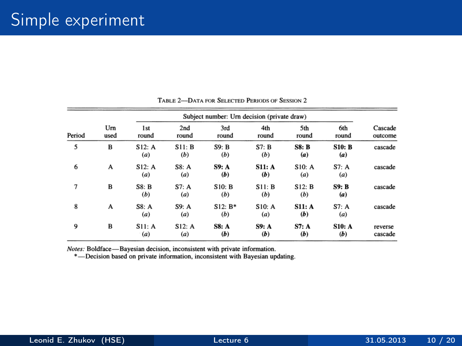| Period | Um<br>used | Subject number: Urn decision (private draw) |               |                     |               |               |                      |                    |
|--------|------------|---------------------------------------------|---------------|---------------------|---------------|---------------|----------------------|--------------------|
|        |            | 1 <sub>st</sub><br>round                    | 2nd<br>round  | 3rd<br>round        | 4th<br>round  | 5th<br>round  | 6th<br>round         | Cascade<br>outcome |
| 5      | B          | S12: A<br>(a)                               | S11: B<br>(b) | S9: B<br>(b)        | ST: B<br>(b)  | S8: B<br>(a)  | <b>S10: B</b><br>(a) | cascade            |
| 6      | A          | S12: A<br>(a)                               | S8: A<br>(a)  | <b>S9: A</b><br>(b) | S11: A<br>(b) | S10: A<br>(a) | S7: A<br>(a)         | cascade            |
| 7      | B          | S8: B<br>(b)                                | S7: A<br>(a)  | S10: B<br>(b)       | S11: B<br>(b) | S12: B<br>(b) | <b>S9: B</b><br>(a)  | cascade            |
| 8      | A          | S8: A<br>(a)                                | S9: A<br>(a)  | $S12: B*$<br>(b)    | S10: A<br>(a) | S11: A<br>(b) | S7: A<br>(a)         | cascade            |
| 9      | B          | S11: A<br>(a)                               | S12: A<br>(a) | <b>S8: A</b><br>(b) | S9: A<br>(b)  | S7: A<br>(b)  | <b>S10: A</b><br>(b) | reverse<br>cascade |

#### TABLE 2-DATA FOR SELECTED PERIODS OF SESSION 2

Notes: Boldface-Bayesian decision, inconsistent with private information.

\*-Decision based on private information, inconsistent with Bayesian updating.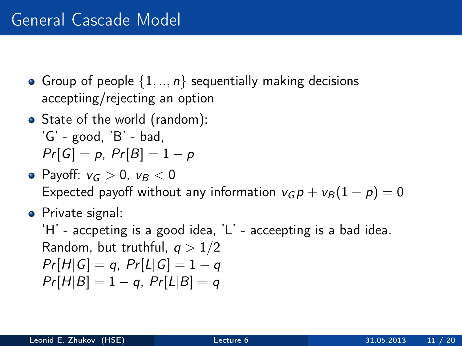- Group of people  $\{1, ..., n\}$  sequentially making decisions acceptiing/rejecting an option
- State of the world (random):  $'G'$  - good,  $'B'$  - bad,  $Pr[G] = p$ ,  $Pr[B] = 1 - p$
- Pavoff:  $v_G > 0$ ,  $v_B < 0$ Expected payoff without any information  $v_G p + v_B (1 - p) = 0$
- **•** Private signal:

'H' - accpeting is a good idea, 'L' - acceepting is a bad idea. Random, but truthful,  $q > 1/2$  $Pr[H|G] = q$ ,  $Pr[L|G] = 1 - q$  $Pr[H|B] = 1 - a$ ,  $Pr[L|B] = a$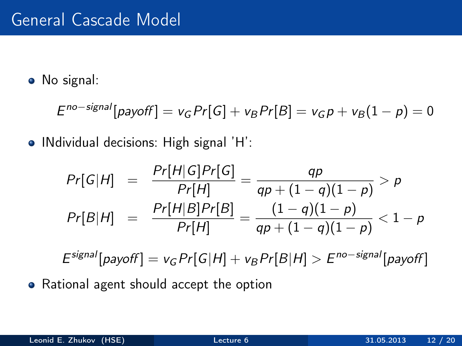• No signal:

$$
Eno-signal[payoff] = vG Pr[G] + vB Pr[B] = vG p + vB(1 - p) = 0
$$

• INdividual decisions: High signal 'H':

$$
Pr[G|H] = \frac{Pr[H|G]Pr[G]}{Pr[H]} = \frac{qp}{qp + (1 - q)(1 - p)} > p
$$
  

$$
Pr[B|H] = \frac{Pr[H|B]Pr[B]}{Pr[H]} = \frac{(1 - q)(1 - p)}{qp + (1 - q)(1 - p)} < 1 - p
$$

 $E^{signal}[payoff] = v_G Pr[G|H] + v_B Pr[B|H] > E^{no-signal}[payoff]$ 

• Rational agent should accept the option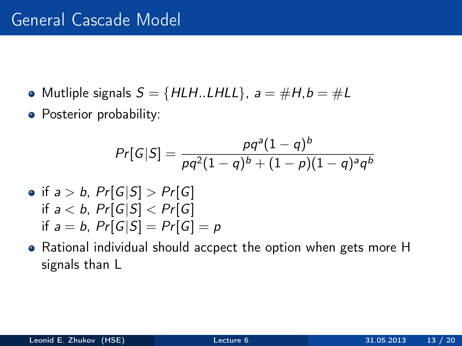- Mutliple signals  $S = \{HLH$ ..LHLL $\}$ ,  $a = \#H$ ,  $b = \#L$
- Posterior probability:

$$
Pr[G|S] = \frac{pq^{a}(1-q)^{b}}{pq^{2}(1-q)^{b} + (1-p)(1-q)^{a}q^{b}}
$$

- if  $a > b$ ,  $Pr[G|S] > Pr[G]$ if  $a < b$ ,  $Pr[G|S] < Pr[G]$ if  $a = b$ ,  $Pr[G|S] = Pr[G] = p$
- Rational individual should accpect the option when gets more H signals than L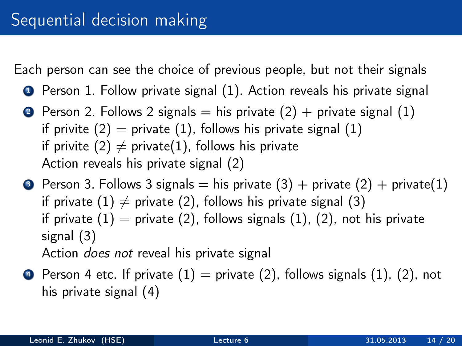Each person can see the choice of previous people, but not their signals

- **1** Person 1. Follow private signal (1). Action reveals his private signal
- **2** Person 2. Follows 2 signals  $=$  his private (2)  $+$  private signal (1) if privite  $(2)$  = private  $(1)$ , follows his private signal  $(1)$ if privite (2)  $\neq$  private(1), follows his private Action reveals his private signal (2)
- **3** Person 3. Follows 3 signals = his private  $(3)$  + private  $(2)$  + private $(1)$ if private (1)  $\neq$  private (2), follows his private signal (3) if private  $(1)$  = private  $(2)$ , follows signals  $(1)$ ,  $(2)$ , not his private signal (3) Action does not reveal his private signal
- $\bullet$  Person 4 etc. If private  $(1)$  = private  $(2)$ , follows signals  $(1)$ ,  $(2)$ , not his private signal (4)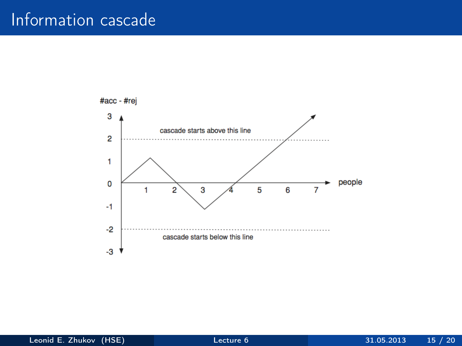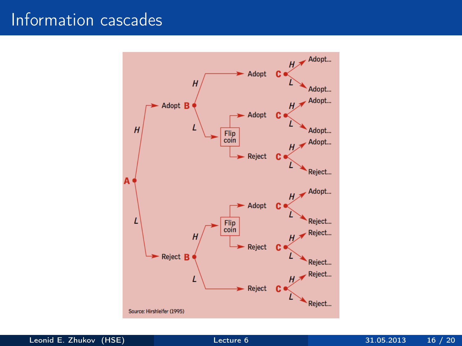

Leonid E. Zhukov (HSE) [Lecture 6](#page-0-0) 31.05.2013 16 / 20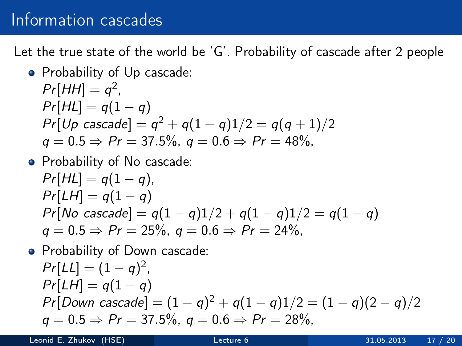Let the true state of the world be 'G'. Probability of cascade after 2 people

• Probability of Up cascade:  
\n
$$
Pr[HH] = q^2
$$
,  
\n $Pr[HL] = q(1 - q)$   
\n $Pr[Up cascade] = q^2 + q(1 - q)1/2 = q(q + 1)/2$   
\n $q = 0.5 \Rightarrow Pr = 37.5\%, q = 0.6 \Rightarrow Pr = 48\%,$ 

• Probability of No cascade:  
\n
$$
Pr[HL] = q(1 - q)
$$
,  
\n $Pr[LH] = q(1 - q)$   
\n $Pr[No \; cascade] = q(1 - q)1/2 + q(1 - q)1/2 = q(1 - q)$   
\n $q = 0.5 \Rightarrow Pr = 25\%, q = 0.6 \Rightarrow Pr = 24\%,$ 

• Probability of Down cascade:  
\n
$$
Pr[L1] = (1 - q)^2
$$
,  
\n $Pr[LH] = q(1 - q)$   
\n $Pr[Down cascade] = (1 - q)^2 + q(1 - q)1/2 = (1 - q)(2 - q)/2$   
\n $q = 0.5 \Rightarrow Pr = 37.5\%, q = 0.6 \Rightarrow Pr = 28\%,$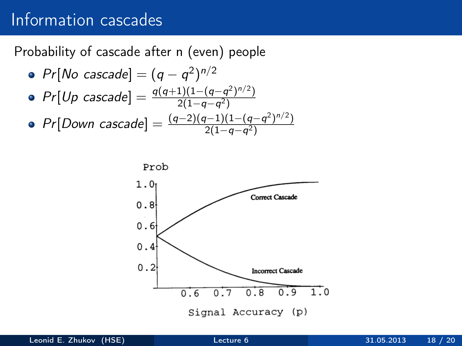Probability of cascade after n (even) people

\n- $$
Pr[No \text{ cascade}] = (q - q^2)^{n/2}
$$
\n- $Pr[Up \text{ cascade}] = \frac{q(q+1)(1-(q-q^2)^{n/2})}{2(1-q-q^2)}$
\n- $Pr[Down \text{ cascade}] = \frac{(q-2)(q-1)(1-(q-q^2)^{n/2})}{2(1-q-q^2)}$
\n

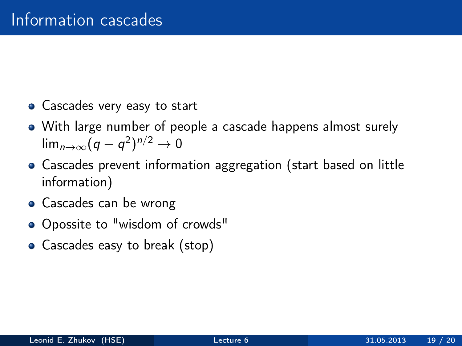- Cascades very easy to start
- With large number of people a cascade happens almost surely lim $_{n\to\infty}(q-q^2)^{n/2}\to 0$
- Cascades prevent information aggregation (start based on little information)
- **•** Cascades can be wrong
- Opossite to "wisdom of crowds"
- Cascades easy to break (stop)